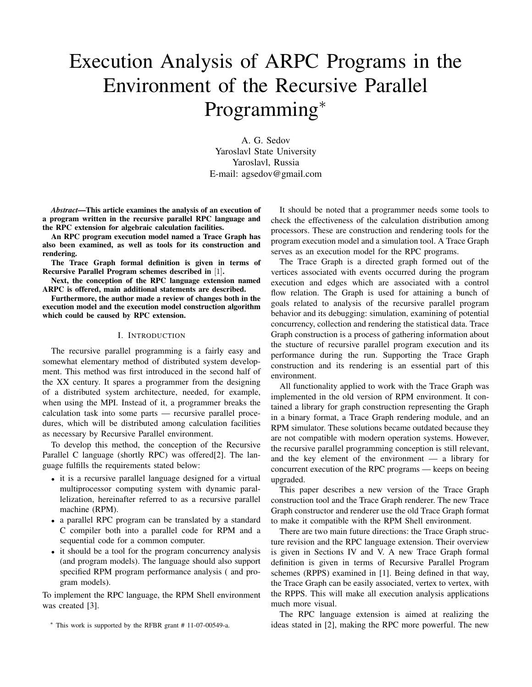# Execution Analysis of ARPC Programs in the Environment of the Recursive Parallel Programming<sup>∗</sup>

A. G. Sedov Yaroslavl State University Yaroslavl, Russia E-mail: agsedov@gmail.com

*Abstract*—This article examines the analysis of an execution of a program written in the recursive parallel RPC language and the RPC extension for algebraic calculation facilities.

An RPC program execution model named a Trace Graph has also been examined, as well as tools for its construction and rendering.

The Trace Graph formal definition is given in terms of Recursive Parallel Program schemes described in [1].

Next, the conception of the RPC language extension named ARPC is offered, main additional statements are described.

Furthermore, the author made a review of changes both in the execution model and the execution model construction algorithm which could be caused by RPC extension.

#### I. INTRODUCTION

The recursive parallel programming is a fairly easy and somewhat elementary method of distributed system development. This method was first introduced in the second half of the XX century. It spares a programmer from the designing of a distributed system architecture, needed, for example, when using the MPI. Instead of it, a programmer breaks the calculation task into some parts — recursive parallel procedures, which will be distributed among calculation facilities as necessary by Recursive Parallel environment.

To develop this method, the conception of the Recursive Parallel C language (shortly RPC) was offered[2]. The language fulfills the requirements stated below:

- it is a recursive parallel language designed for a virtual multiprocessor computing system with dynamic parallelization, hereinafter referred to as a recursive parallel machine (RPM).
- a parallel RPC program can be translated by a standard C compiler both into a parallel code for RPM and a sequential code for a common computer.
- it should be a tool for the program concurrency analysis (and program models). The language should also support specified RPM program performance analysis ( and program models).

To implement the RPC language, the RPM Shell environment was created [3].

It should be noted that a programmer needs some tools to check the effectiveness of the calculation distribution among processors. These are construction and rendering tools for the program execution model and a simulation tool. A Trace Graph serves as an execution model for the RPC programs.

The Trace Graph is a directed graph formed out of the vertices associated with events occurred during the program execution and edges which are associated with a control flow relation. The Graph is used for attaining a bunch of goals related to analysis of the recursive parallel program behavior and its debugging: simulation, examining of potential concurrency, collection and rendering the statistical data. Trace Graph construction is a process of gathering information about the stucture of recursive parallel program execution and its performance during the run. Supporting the Trace Graph construction and its rendering is an essential part of this environment.

All functionality applied to work with the Trace Graph was implemented in the old version of RPM environment. It contained a library for graph construction representing the Graph in a binary format, a Trace Graph rendering module, and an RPM simulator. These solutions became outdated because they are not compatible with modern operation systems. However, the recursive parallel programming conception is still relevant, and the key element of the environment — a library for concurrent execution of the RPC programs — keeps on beeing upgraded.

This paper describes a new version of the Trace Graph construction tool and the Trace Graph renderer. The new Trace Graph constructor and renderer use the old Trace Graph format to make it compatible with the RPM Shell environment.

There are two main future directions: the Trace Graph structure revision and the RPC language extension. Their overview is given in Sections IV and V. A new Trace Graph formal definition is given in terms of Recursive Parallel Program schemes (RPPS) examined in [1]. Being defined in that way, the Trace Graph can be easily associated, vertex to vertex, with the RPPS. This will make all execution analysis applications much more visual.

The RPC language extension is aimed at realizing the ideas stated in [2], making the RPC more powerful. The new

<sup>∗</sup> This work is supported by the RFBR grant # 11-07-00549-a.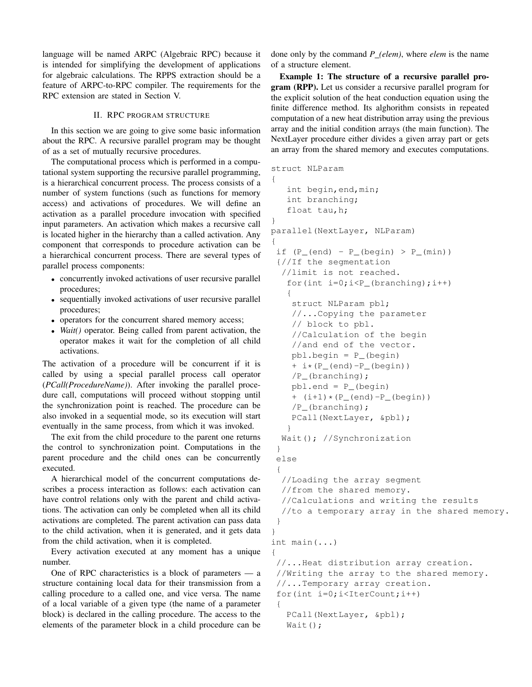language will be named ARPC (Algebraic RPC) because it is intended for simplifying the development of applications for algebraic calculations. The RPPS extraction should be a feature of ARPC-to-RPC compiler. The requirements for the RPC extension are stated in Section V.

# II. RPC PROGRAM STRUCTURE

In this section we are going to give some basic information about the RPC. A recursive parallel program may be thought of as a set of mutually recursive procedures.

The computational process which is performed in a computational system supporting the recursive parallel programming, is a hierarchical concurrent process. The process consists of a number of system functions (such as functions for memory access) and activations of procedures. We will define an activation as a parallel procedure invocation with specified input parameters. An activation which makes a recursive call is located higher in the hierarchy than a called activation. Any component that corresponds to procedure activation can be a hierarchical concurrent process. There are several types of parallel process components:

- concurrently invoked activations of user recursive parallel procedures;
- sequentially invoked activations of user recursive parallel procedures;
- operators for the concurrent shared memory access;
- *Wait()* operator. Being called from parent activation, the operator makes it wait for the completion of all child activations.

The activation of a procedure will be concurrent if it is called by using a special parallel process call operator (*PCall(ProcedureName)*). After invoking the parallel procedure call, computations will proceed without stopping until the synchronization point is reached. The procedure can be also invoked in a sequential mode, so its execution will start eventually in the same process, from which it was invoked.

The exit from the child procedure to the parent one returns the control to synchronization point. Computations in the parent procedure and the child ones can be concurrently executed.

A hierarchical model of the concurrent computations describes a process interaction as follows: each activation can have control relations only with the parent and child activations. The activation can only be completed when all its child activations are completed. The parent activation can pass data to the child activation, when it is generated, and it gets data from the child activation, when it is completed.

Every activation executed at any moment has a unique number.

One of RPC characteristics is a block of parameters  $-$  a structure containing local data for their transmission from a calling procedure to a called one, and vice versa. The name of a local variable of a given type (the name of a parameter block) is declared in the calling procedure. The access to the elements of the parameter block in a child procedure can be

done only by the command *P (elem)*, where *elem* is the name of a structure element.

Example 1: The structure of a recursive parallel program (RPP). Let us consider a recursive parallel program for the explicit solution of the heat conduction equation using the finite difference method. Its alghorithm consists in repeated computation of a new heat distribution array using the previous array and the initial condition arrays (the main function). The NextLayer procedure either divides a given array part or gets an array from the shared memory and executes computations.

```
struct NLParam
{
   int begin,end,min;
   int branching;
   float tau,h;
}
parallel(NextLayer, NLParam)
{
 if (P_{\text{I}}(end) - P_{\text{I}}(begin) > P_{\text{I}}(min)){//If the segmentation
  //limit is not reached.
   for(int i=0; i < P_ (branching); i++)
   {
    struct NLParam pbl;
    //...Copying the parameter
    // block to pbl.
    //Calculation of the begin
    //and end of the vector.
    pbl.begin = P_(begin)
    + i * (P_{el}(end) - P_{el}(begin))
    /P_(branching);
    pb1.end = P_(begin)
    + (i+1)*(P_{(end)-P_{(begin)})/P (branching);
    PCall(NextLayer, &pbl);
   }
  Wait(); //Synchronization
 }
 else
 {
  //Loading the array segment
  //from the shared memory.
  //Calculations and writing the results
  //to a temporary array in the shared memory.
 }
}
int main(...)
{
 //...Heat distribution array creation.
 //Writing the array to the shared memory.
 //...Temporary array creation.
 for(int i=0; i<IterCount;i++)
 {
   PCall(NextLayer, &pbl);
   Wait();
```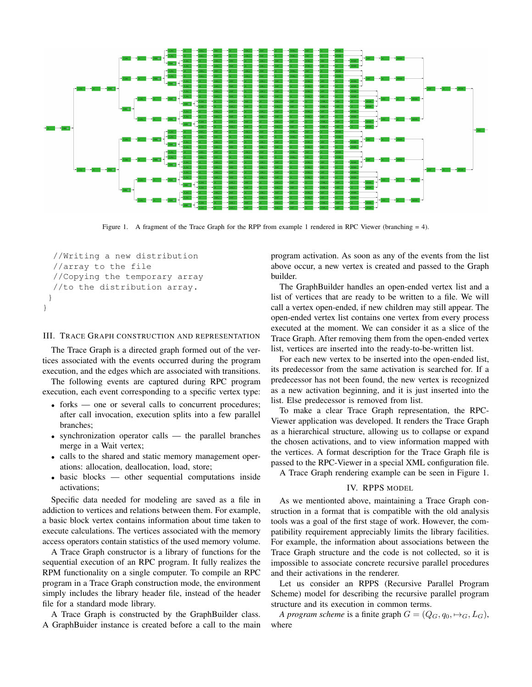

Figure 1. A fragment of the Trace Graph for the RPP from example 1 rendered in RPC Viewer (branching = 4).

```
//Writing a new distribution
//array to the file
//Copying the temporary array
//to the distribution array.
}
```
}

#### III. TRACE GRAPH CONSTRUCTION AND REPRESENTATION

The Trace Graph is a directed graph formed out of the vertices associated with the events occurred during the program execution, and the edges which are associated with transitions.

The following events are captured during RPC program execution, each event corresponding to a specific vertex type:

- forks one or several calls to concurrent procedures; after call invocation, execution splits into a few parallel branches;
- synchronization operator calls the parallel branches merge in a Wait vertex;
- calls to the shared and static memory management operations: allocation, deallocation, load, store;
- basic blocks other sequential computations inside activations;

Specific data needed for modeling are saved as a file in addiction to vertices and relations between them. For example, a basic block vertex contains information about time taken to execute calculations. The vertices associated with the memory access operators contain statistics of the used memory volume.

A Trace Graph constructor is a library of functions for the sequential execution of an RPC program. It fully realizes the RPM functionality on a single computer. To compile an RPC program in a Trace Graph construction mode, the environment simply includes the library header file, instead of the header file for a standard mode library.

A Trace Graph is constructed by the GraphBuilder class. A GraphBuider instance is created before a call to the main program activation. As soon as any of the events from the list above occur, a new vertex is created and passed to the Graph builder.

The GraphBuilder handles an open-ended vertex list and a list of vertices that are ready to be written to a file. We will call a vertex open-ended, if new children may still appear. The open-ended vertex list contains one vertex from every process executed at the moment. We can consider it as a slice of the Trace Graph. After removing them from the open-ended vertex list, vertices are inserted into the ready-to-be-written list.

For each new vertex to be inserted into the open-ended list, its predecessor from the same activation is searched for. If a predecessor has not been found, the new vertex is recognized as a new activation beginning, and it is just inserted into the list. Else predecessor is removed from list.

To make a clear Trace Graph representation, the RPC-Viewer application was developed. It renders the Trace Graph as a hierarchical structure, allowing us to collapse or expand the chosen activations, and to view information mapped with the vertices. A format description for the Trace Graph file is passed to the RPC-Viewer in a special XML configuration file.

A Trace Graph rendering example can be seen in Figure 1.

# IV. RPPS MODEL

As we mentionted above, maintaining a Trace Graph construction in a format that is compatible with the old analysis tools was a goal of the first stage of work. However, the compatibility requirement appreciably limits the library facilities. For example, the information about associations between the Trace Graph structure and the code is not collected, so it is impossible to associate concrete recursive parallel procedures and their activations in the renderer.

Let us consider an RPPS (Recursive Parallel Program Scheme) model for describing the recursive parallel program structure and its execution in common terms.

*A program scheme* is a finite graph  $G = (Q_G, q_0, \mapsto_G, L_G)$ , where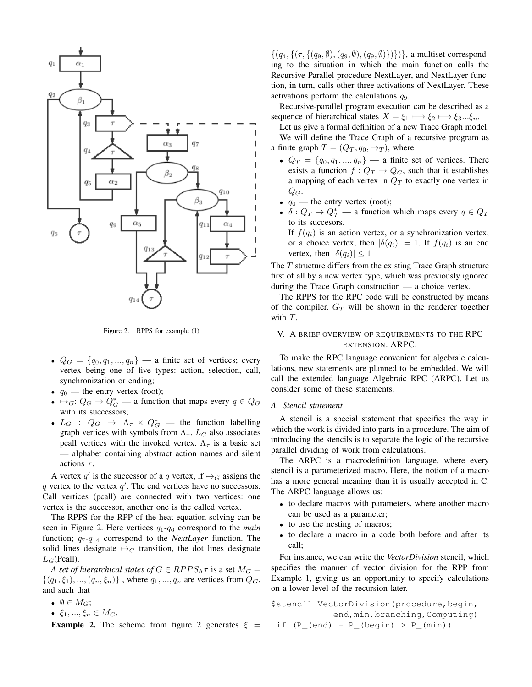

Figure 2. RPPS for example (1)

- $Q_G = \{q_0, q_1, ..., q_n\}$  a finite set of vertices; every vertex being one of five types: action, selection, call, synchronization or ending;
- $q_0$  the entry vertex (root);
- $\mapsto_G: Q_G \to Q_G^*$  a function that maps every  $q \in Q_G$ with its successors;
- $L_G$  :  $Q_G \rightarrow \Lambda_\tau \times Q_G^*$  the function labelling graph vertices with symbols from  $\Lambda_{\tau}$ .  $L_G$  also associates pcall vertices with the invoked vertex.  $\Lambda_{\tau}$  is a basic set — alphabet containing abstract action names and silent actions  $\tau$ .

A vertex  $q'$  is the successor of a q vertex, if  $\mapsto_G$  assigns the  $q$  vertex to the vertex  $q'$ . The end vertices have no successors. Call vertices (pcall) are connected with two vertices: one vertex is the successor, another one is the called vertex.

The RPPS for the RPP of the heat equation solving can be seen in Figure 2. Here vertices q1-q<sup>6</sup> correspond to the *main* function; q7-q<sup>14</sup> correspond to the *NextLayer* function. The solid lines designate  $\mapsto_G$  transition, the dot lines designate  $L_G$ (Pcall).

*A set of hierarchical states of*  $G \in RPPS_{\Lambda} \tau$  is a set  $M_G =$  $\{(q_1,\xi_1),..., (q_n,\xi_n)\}\,$ , where  $q_1,..., q_n$  are vertices from  $Q_G$ , and such that

- $\emptyset \in M_G$ ;
- $\xi_1, ..., \xi_n \in M_G$ .

**Example 2.** The scheme from figure 2 generates  $\xi =$ 

 $\{(q_4, \{(\tau, \{(q_9, \emptyset), (q_9, \emptyset), (q_9, \emptyset)\})\}\}\}\$ , a multiset corresponding to the situation in which the main function calls the Recursive Parallel procedure NextLayer, and NextLayer function, in turn, calls other three activations of NextLayer. These activations perform the calculations  $q_9$ .

Recursive-parallel program execution can be described as a sequence of hierarchical states  $X = \xi_1 \mapsto \xi_2 \mapsto \xi_3...\xi_n$ .

Let us give a formal definition of a new Trace Graph model. We will define the Trace Graph of a recursive program as a finite graph  $T = (Q_T, q_0, \mapsto_T)$ , where

- $Q_T = \{q_0, q_1, ..., q_n\}$  a finite set of vertices. There exists a function  $f: Q_T \to Q_G$ , such that it establishes a mapping of each vertex in  $Q_T$  to exactly one vertex in  $Q_G$ .
- $q_0$  the entry vertex (root);
- $\delta: Q_T \to Q_T^*$  a function which maps every  $q \in Q_T$ to its succesors.
	- If  $f(q_i)$  is an action vertex, or a synchronization vertex, or a choice vertex, then  $|\delta(q_i)| = 1$ . If  $f(q_i)$  is an end vertex, then  $|\delta(q_i)| \leq 1$

The T structure differs from the existing Trace Graph structure first of all by a new vertex type, which was previously ignored during the Trace Graph construction — a choice vertex.

The RPPS for the RPC code will be constructed by means of the compiler.  $G_T$  will be shown in the renderer together with T.

# V. A BRIEF OVERVIEW OF REQUIREMENTS TO THE RPC EXTENSION. ARPC.

To make the RPC language convenient for algebraic calculations, new statements are planned to be embedded. We will call the extended language Algebraic RPC (ARPC). Let us consider some of these statements.

## *A. Stencil statement*

A stencil is a special statement that specifies the way in which the work is divided into parts in a procedure. The aim of introducing the stencils is to separate the logic of the recursive parallel dividing of work from calculations.

The ARPC is a macrodefinition language, where every stencil is a parameterized macro. Here, the notion of a macro has a more general meaning than it is usually accepted in C. The ARPC language allows us:

- to declare macros with parameters, where another macro can be used as a parameter;
- to use the nesting of macros;
- to declare a macro in a code both before and after its call;

For instance, we can write the *VectorDivision* stencil, which specifies the manner of vector division for the RPP from Example 1, giving us an opportunity to specify calculations on a lower level of the recursion later.

```
$stencil VectorDivision(procedure, begin,
                end, min, branching, Computing)
 if (P_{\text{I}}(end) - P_{\text{I}}(begin) > P_{\text{I}}(min))
```